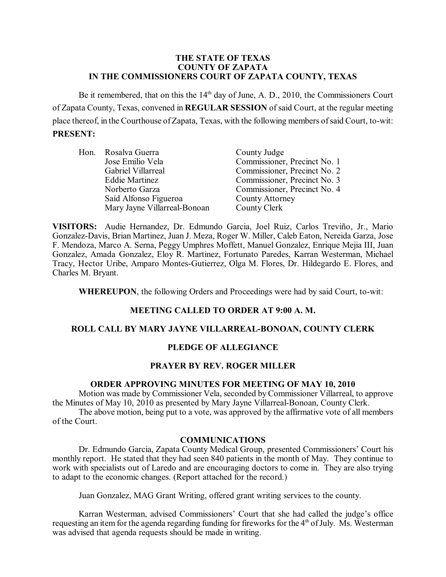### **THE STATE OF TEXAS COUNTY OF ZAPATA IN THE COMMISSIONERS COURT OF ZAPATA COUNTY, TEXAS**

Be it remembered, that on this the  $14<sup>th</sup>$  day of June, A. D., 2010, the Commissioners Court of Zapata County, Texas, convened in **REGULAR SESSION** of said Court, at the regular meeting place thereof, in the Courthouse ofZapata, Texas, with the following members of said Court, to-wit: **PRESENT:**

| Hon. Rosalva Guerra          | County Judge                 |
|------------------------------|------------------------------|
| Jose Emilio Vela             | Commissioner, Precinct No. 1 |
| Gabriel Villarreal           | Commissioner, Precinct No. 2 |
| <b>Eddie Martinez</b>        | Commissioner, Precinct No. 3 |
| Norberto Garza               | Commissioner, Precinct No. 4 |
| Saíd Alfonso Figueroa        | <b>County Attorney</b>       |
| Mary Jayne Villarreal-Bonoan | County Clerk                 |

**VISITORS:** Audie Hernandez, Dr. Edmundo Garcia, Joel Ruiz, Carlos Treviño, Jr., Mario Gonzalez-Davis, Brian Martinez, Juan J. Meza, Roger W. Miller, Caleb Eaton, Nereida Garza, Jose F. Mendoza, Marco A. Serna, Peggy Umphres Moffett, Manuel Gonzalez, Enrique Mejia III, Juan Gonzalez, Amada Gonzalez, Eloy R. Martinez, Fortunato Paredes, Karran Westerman, Michael Tracy, Hector Uribe, Amparo Montes-Gutierrez, Olga M. Flores, Dr. Hildegardo E. Flores, and Charles M. Bryant.

**WHEREUPON**, the following Orders and Proceedings were had by said Court, to-wit:

### **MEETING CALLED TO ORDER AT 9:00 A. M.**

# **ROLL CALL BY MARY JAYNE VILLARREAL-BONOAN, COUNTY CLERK**

### **PLEDGE OF ALLEGIANCE**

### **PRAYER BY REV. ROGER MILLER**

# **ORDER APPROVING MINUTES FOR MEETING OF MAY 10, 2010**

Motion was made by Commissioner Vela, seconded by Commissioner Villarreal, to approve the Minutes of May 10, 2010 as presented by Mary Jayne Villarreal-Bonoan, County Clerk.

The above motion, being put to a vote, was approved by the affirmative vote of all members of the Court.

### **COMMUNICATIONS**

Dr. Edmundo Garcia, Zapata County Medical Group, presented Commissioners' Court his monthly report. He stated that they had seen 840 patients in the month of May. They continue to work with specialists out of Laredo and are encouraging doctors to come in. They are also trying to adapt to the economic changes. (Report attached for the record.)

Juan Gonzalez, MAG Grant Writing, offered grant writing services to the county.

Karran Westerman, advised Commissioners' Court that she had called the judge's office requesting an item for the agenda regarding funding for fireworks for the 4<sup>th</sup> of July. Ms. Westerman was advised that agenda requests should be made in writing.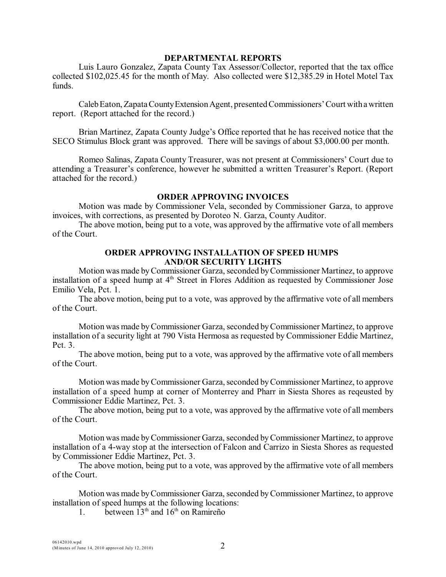### **DEPARTMENTAL REPORTS**

Luis Lauro Gonzalez, Zapata County Tax Assessor/Collector, reported that the tax office collected \$102,025.45 for the month of May. Also collected were \$12,385.29 in Hotel Motel Tax funds.

Caleb Eaton, Zapata County Extension Agent, presented Commissioners' Court with a written report. (Report attached for the record.)

Brian Martinez, Zapata County Judge's Office reported that he has received notice that the SECO Stimulus Block grant was approved. There will be savings of about \$3,000.00 per month.

Romeo Salinas, Zapata County Treasurer, was not present at Commissioners' Court due to attending a Treasurer's conference, however he submitted a written Treasurer's Report. (Report attached for the record.)

### **ORDER APPROVING INVOICES**

Motion was made by Commissioner Vela, seconded by Commissioner Garza, to approve invoices, with corrections, as presented by Doroteo N. Garza, County Auditor.

The above motion, being put to a vote, was approved by the affirmative vote of all members of the Court.

# **ORDER APPROVING INSTALLATION OF SPEED HUMPS AND/OR SECURITY LIGHTS**

Motion was made by Commissioner Garza, seconded byCommissioner Martinez, to approve installation of a speed hump at  $4<sup>th</sup>$  Street in Flores Addition as requested by Commissioner Jose Emilio Vela, Pct. 1.

The above motion, being put to a vote, was approved by the affirmative vote of all members of the Court.

Motion was made by Commissioner Garza, seconded by Commissioner Martinez, to approve installation of a security light at 790 Vista Hermosa as requested by Commissioner Eddie Martinez, Pct. 3.

The above motion, being put to a vote, was approved by the affirmative vote of all members of the Court.

Motion was made by Commissioner Garza, seconded by Commissioner Martinez, to approve installation of a speed hump at corner of Monterrey and Pharr in Siesta Shores as reqeusted by Commissioner Eddie Martinez, Pct. 3.

The above motion, being put to a vote, was approved by the affirmative vote of all members of the Court.

Motion was made by Commissioner Garza, seconded by Commissioner Martinez, to approve installation of a 4-way stop at the intersection of Falcon and Carrizo in Siesta Shores as requested by Commissioner Eddie Martinez, Pct. 3.

The above motion, being put to a vote, was approved by the affirmative vote of all members of the Court.

Motion was made byCommissioner Garza, seconded by Commissioner Martinez, to approve installation of speed humps at the following locations:

1. between  $13<sup>th</sup>$  and  $16<sup>th</sup>$  on Ramireño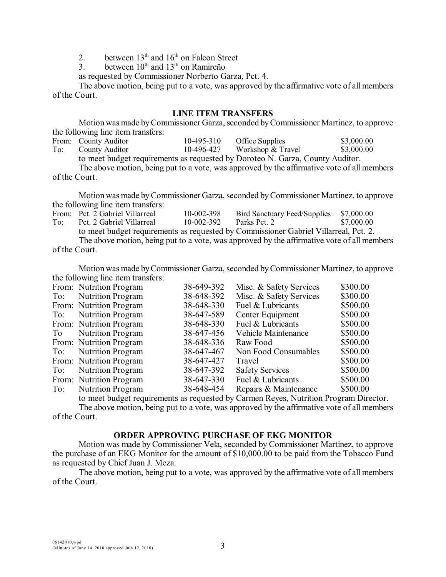2. between  $13<sup>th</sup>$  and  $16<sup>th</sup>$  on Falcon Street

3. between  $10^{th}$  and  $13^{th}$  on Ramireño

as requested by Commissioner Norberto Garza, Pct. 4.

The above motion, being put to a vote, was approved by the affirmative vote of all members of the Court.

# **LINE ITEM TRANSFERS**

Motion was made by Commissioner Garza, seconded by Commissioner Martinez, to approve the following line item transfers:

|     | From: County Auditor                                                                       | 10-495-310 | <b>Office Supplies</b> | \$3,000.00 |
|-----|--------------------------------------------------------------------------------------------|------------|------------------------|------------|
| To: | County Auditor                                                                             | 10-496-427 | Workshop & Travel      | \$3,000.00 |
|     | to meet budget requirements as requested by Doroteo N. Garza, County Auditor.              |            |                        |            |
|     | The above motion, being put to a vote, was approved by the affirmative vote of all members |            |                        |            |

of the Court.

Motion was made by Commissioner Garza, seconded by Commissioner Martinez, to approve the following line item transfers:

|     | From: Pct. 2 Gabriel Villarreal | 10-002-398   | Bird Sanctuary Feed/Supplies                                                               | \$7,000.00 |
|-----|---------------------------------|--------------|--------------------------------------------------------------------------------------------|------------|
| To: | Pct. 2 Gabriel Villarreal       | $10-002-392$ | Parks Pct. 2                                                                               | \$7,000.00 |
|     |                                 |              | to meet budget requirements as requested by Commissioner Gabriel Villarreal, Pct. 2.       |            |
|     |                                 |              | The above motion, being put to a vote, was approved by the affirmative vote of all members |            |

of the Court.

Motion was made byCommissioner Garza, seconded by Commissioner Martinez, to approve the following line item transfers:

|     | From: Nutrition Program  | 38-649-392 | Misc. & Safety Services | \$300.00 |
|-----|--------------------------|------------|-------------------------|----------|
| To: | <b>Nutrition Program</b> | 38-648-392 | Misc. & Safety Services | \$300.00 |
|     | From: Nutrition Program  | 38-648-330 | Fuel & Lubricants       | \$500.00 |
| To: | <b>Nutrition Program</b> | 38-647-589 | Center Equipment        | \$500.00 |
|     | From: Nutrition Program  | 38-648-330 | Fuel & Lubricants       | \$500.00 |
| To  | <b>Nutrition Program</b> | 38-647-456 | Vehicle Maintenance     | \$500.00 |
|     | From: Nutrition Program  | 38-648-336 | Raw Food                | \$500.00 |
| To: | <b>Nutrition Program</b> | 38-647-467 | Non Food Consumables    | \$500.00 |
|     | From: Nutrition Program  | 38-647-427 | Travel                  | \$500.00 |
| To: | <b>Nutrition Program</b> | 38-647-392 | <b>Safety Services</b>  | \$500.00 |
|     | From: Nutrition Program  | 38-647-330 | Fuel & Lubricants       | \$500.00 |
| To: | <b>Nutrition Program</b> | 38-648-454 | Repairs & Maintenance   | \$500.00 |
|     |                          |            |                         |          |

to meet budget requirements as requested by Carmen Reyes, Nutrition Program Director. The above motion, being put to a vote, was approved by the affirmative vote of all members of the Court.

# **ORDER APPROVING PURCHASE OF EKG MONITOR**

Motion was made by Commissioner Vela, seconded by Commissioner Martinez, to approve the purchase of an EKG Monitor for the amount of \$10,000.00 to be paid from the Tobacco Fund as requested by Chief Juan J. Meza.

The above motion, being put to a vote, was approved by the affirmative vote of all members of the Court.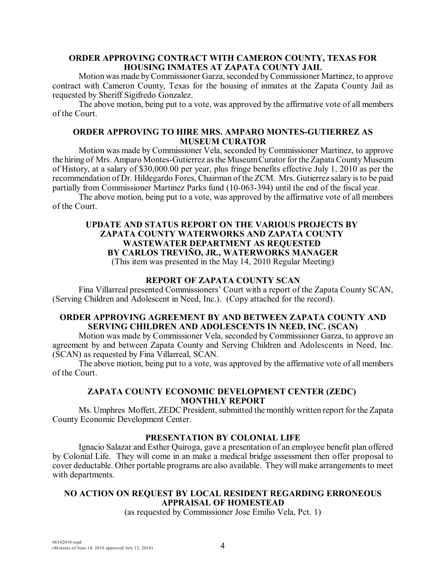# **ORDER APPROVING CONTRACT WITH CAMERON COUNTY, TEXAS FOR HOUSING INMATES AT ZAPATA COUNTY JAIL**

Motion was made by Commissioner Garza, seconded by Commissioner Martinez, to approve contract with Cameron County, Texas for the housing of inmates at the Zapata County Jail as requested by Sheriff Sigifredo Gonzalez.

The above motion, being put to a vote, was approved by the affirmative vote of all members of the Court.

# **ORDER APPROVING TO HIRE MRS. AMPARO MONTES-GUTIERREZ AS MUSEUM CURATOR**

Motion was made by Commissioner Vela, seconded by Commissioner Martinez, to approve the hiring of Mrs. Amparo Montes-Gutierrez asthe MuseumCurator for the Zapata County Museum of History, at a salary of \$30,000.00 per year, plus fringe benefits effective July 1, 2010 as per the recommendation of Dr. Hildegardo Fores, Chairman of the ZCM. Mrs. Gutierrez salary is to be paid partially from Commissioner Martinez Parks fund (10-063-394) until the end of the fiscal year.

The above motion, being put to a vote, was approved by the affirmative vote of all members of the Court.

### **UPDATE AND STATUS REPORT ON THE VARIOUS PROJECTS BY ZAPATA COUNTY WATERWORKS AND ZAPATA COUNTY WASTEWATER DEPARTMENT AS REQUESTED BY CARLOS TREVIÑO, JR., WATERWORKS MANAGER** (This item was presented in the May 14, 2010 Regular Meeting)

# **REPORT OF ZAPATA COUNTY SCAN**

Fina Villarreal presented Commissioners' Court with a report of the Zapata County SCAN, (Serving Children and Adolescent in Need, Inc.). (Copy attached for the record).

### **ORDER APPROVING AGREEMENT BY AND BETWEEN ZAPATA COUNTY AND SERVING CHILDREN AND ADOLESCENTS IN NEED, INC. (SCAN)**

Motion was made by Commissioner Vela, seconded by Commissioner Garza, to approve an agreement by and between Zapata County and Serving Children and Adolescents in Need, Inc. (SCAN) as requested by Fina Villarreal, SCAN.

The above motion, being put to a vote, was approved by the affirmative vote of all members of the Court.

# **ZAPATA COUNTY ECONOMIC DEVELOPMENT CENTER (ZEDC) MONTHLY REPORT**

Ms. Umphres Moffett, ZEDC President, submitted the monthly written report for the Zapata County Economic Development Center.

# **PRESENTATION BY COLONIAL LIFE**

Ignacio Salazar and Esther Quiroga, gave a presentation of an employee benefit plan offered by Colonial Life. They will come in an make a medical bridge assessment then offer proposal to cover deductable. Other portable programs are also available. They will make arrangements to meet with departments.

# **NO ACTION ON REQUEST BY LOCAL RESIDENT REGARDING ERRONEOUS APPRAISAL OF HOMESTEAD**

(as requested by Commissioner Jose Emilio Vela, Pct. 1)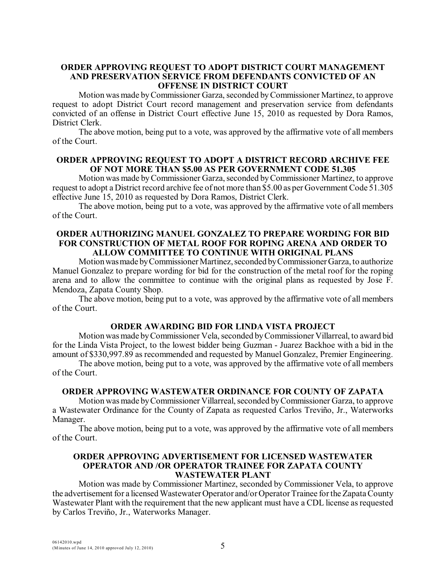# **ORDER APPROVING REQUEST TO ADOPT DISTRICT COURT MANAGEMENT AND PRESERVATION SERVICE FROM DEFENDANTS CONVICTED OF AN OFFENSE IN DISTRICT COURT**

Motion wasmade by Commissioner Garza, seconded by Commissioner Martinez, to approve request to adopt District Court record management and preservation service from defendants convicted of an offense in District Court effective June 15, 2010 as requested by Dora Ramos, District Clerk.

The above motion, being put to a vote, was approved by the affirmative vote of all members of the Court.

### **ORDER APPROVING REQUEST TO ADOPT A DISTRICT RECORD ARCHIVE FEE OF NOT MORE THAN \$5.00 AS PER GOVERNMENT CODE 51.305**

Motion was made by Commissioner Garza, seconded by Commissioner Martinez, to approve request to adopt a District record archive fee of not more than \$5.00 as per Government Code 51.305 effective June 15, 2010 as requested by Dora Ramos, District Clerk.

The above motion, being put to a vote, was approved by the affirmative vote of all members of the Court.

### **ORDER AUTHORIZING MANUEL GONZALEZ TO PREPARE WORDING FOR BID FOR CONSTRUCTION OF METAL ROOF FOR ROPING ARENA AND ORDER TO ALLOW COMMITTEE TO CONTINUE WITH ORIGINAL PLANS**

Motion was made by Commissioner Martinez, seconded by Commissioner Garza, to authorize Manuel Gonzalez to prepare wording for bid for the construction of the metal roof for the roping arena and to allow the committee to continue with the original plans as requested by Jose F. Mendoza, Zapata County Shop.

The above motion, being put to a vote, was approved by the affirmative vote of all members of the Court.

# **ORDER AWARDING BID FOR LINDA VISTA PROJECT**

Motion was made by Commissioner Vela, seconded by Commissioner Villarreal, to award bid for the Linda Vista Project, to the lowest bidder being Guzman - Juarez Backhoe with a bid in the amount of \$330,997.89 as recommended and requested by Manuel Gonzalez, Premier Engineering.

The above motion, being put to a vote, was approved by the affirmative vote of all members of the Court.

### **ORDER APPROVING WASTEWATER ORDINANCE FOR COUNTY OF ZAPATA**

Motion was made by Commissioner Villarreal, seconded by Commissioner Garza, to approve a Wastewater Ordinance for the County of Zapata as requested Carlos Treviño, Jr., Waterworks Manager.

The above motion, being put to a vote, was approved by the affirmative vote of all members of the Court.

### **ORDER APPROVING ADVERTISEMENT FOR LICENSED WASTEWATER OPERATOR AND /OR OPERATOR TRAINEE FOR ZAPATA COUNTY WASTEWATER PLANT**

Motion was made by Commissioner Martinez, seconded by Commissioner Vela, to approve the advertisement for a licensed Wastewater Operator and/or Operator Trainee for the Zapata County Wastewater Plant with the requirement that the new applicant must have a CDL license as requested by Carlos Treviño, Jr., Waterworks Manager.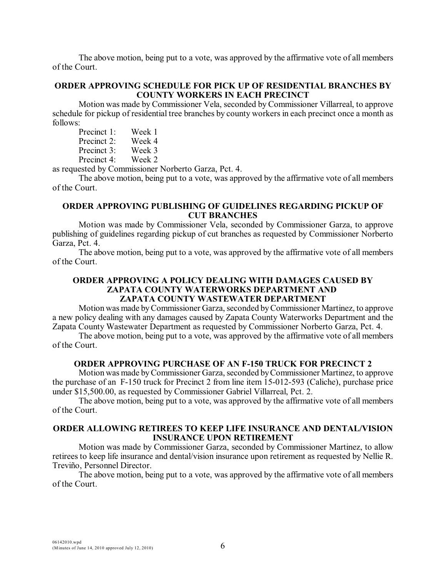The above motion, being put to a vote, was approved by the affirmative vote of all members of the Court.

# **ORDER APPROVING SCHEDULE FOR PICK UP OF RESIDENTIAL BRANCHES BY COUNTY WORKERS IN EACH PRECINCT**

Motion was made by Commissioner Vela, seconded by Commissioner Villarreal, to approve schedule for pickup of residential tree branches by county workers in each precinct once a month as follows:

| Precinct 1: | Week 1         |
|-------------|----------------|
| Precinct 2: | Week 4         |
| Precinct 3: | Week 3         |
| Precinct 4: | Week 2         |
| $-11 - C$   | : _ _ : _ ._ _ |

as requested by Commissioner Norberto Garza, Pct. 4.

The above motion, being put to a vote, was approved by the affirmative vote of all members of the Court.

### **ORDER APPROVING PUBLISHING OF GUIDELINES REGARDING PICKUP OF CUT BRANCHES**

Motion was made by Commissioner Vela, seconded by Commissioner Garza, to approve publishing of guidelines regarding pickup of cut branches as requested by Commissioner Norberto Garza, Pct. 4.

The above motion, being put to a vote, was approved by the affirmative vote of all members of the Court.

# **ORDER APPROVING A POLICY DEALING WITH DAMAGES CAUSED BY ZAPATA COUNTY WATERWORKS DEPARTMENT AND ZAPATA COUNTY WASTEWATER DEPARTMENT**

Motion was made by Commissioner Garza, seconded by Commissioner Martinez, to approve a new policy dealing with any damages caused by Zapata County Waterworks Department and the Zapata County Wastewater Department as requested by Commissioner Norberto Garza, Pct. 4.

The above motion, being put to a vote, was approved by the affirmative vote of all members of the Court.

### **ORDER APPROVING PURCHASE OF AN F-150 TRUCK FOR PRECINCT 2**

Motion was made by Commissioner Garza, seconded byCommissioner Martinez, to approve the purchase of an F-150 truck for Precinct 2 from line item 15-012-593 (Caliche), purchase price under \$15,500.00, as requested by Commissioner Gabriel Villarreal, Pct. 2.

The above motion, being put to a vote, was approved by the affirmative vote of all members of the Court.

# **ORDER ALLOWING RETIREES TO KEEP LIFE INSURANCE AND DENTAL/VISION INSURANCE UPON RETIREMENT**

Motion was made by Commissioner Garza, seconded by Commissioner Martinez, to allow retirees to keep life insurance and dental/vision insurance upon retirement as requested by Nellie R. Treviño, Personnel Director.

The above motion, being put to a vote, was approved by the affirmative vote of all members of the Court.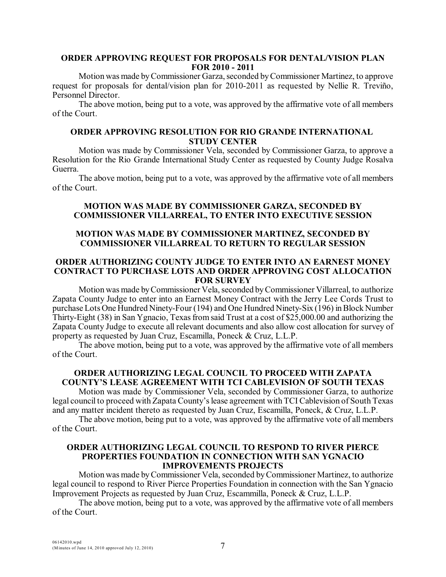# **ORDER APPROVING REQUEST FOR PROPOSALS FOR DENTAL/VISION PLAN FOR 2010 - 2011**

Motion was made by Commissioner Garza, seconded by Commissioner Martinez, to approve request for proposals for dental/vision plan for 2010-2011 as requested by Nellie R. Treviño, Personnel Director.

The above motion, being put to a vote, was approved by the affirmative vote of all members of the Court.

# **ORDER APPROVING RESOLUTION FOR RIO GRANDE INTERNATIONAL STUDY CENTER**

Motion was made by Commissioner Vela, seconded by Commissioner Garza, to approve a Resolution for the Rio Grande International Study Center as requested by County Judge Rosalva Guerra.

The above motion, being put to a vote, was approved by the affirmative vote of all members of the Court.

# **MOTION WAS MADE BY COMMISSIONER GARZA, SECONDED BY COMMISSIONER VILLARREAL, TO ENTER INTO EXECUTIVE SESSION**

# **MOTION WAS MADE BY COMMISSIONER MARTINEZ, SECONDED BY COMMISSIONER VILLARREAL TO RETURN TO REGULAR SESSION**

### **ORDER AUTHORIZING COUNTY JUDGE TO ENTER INTO AN EARNEST MONEY CONTRACT TO PURCHASE LOTS AND ORDER APPROVING COST ALLOCATION FOR SURVEY**

Motion was made byCommissioner Vela, seconded by Commissioner Villarreal, to authorize Zapata County Judge to enter into an Earnest Money Contract with the Jerry Lee Cords Trust to purchase Lots One Hundred Ninety-Four (194) and One Hundred Ninety-Six (196) in Block Number Thirty-Eight (38) in San Ygnacio, Texas from said Trust at a cost of \$25,000.00 and authorizing the Zapata County Judge to execute all relevant documents and also allow cost allocation for survey of property as requested by Juan Cruz, Escamilla, Poneck & Cruz, L.L.P.

The above motion, being put to a vote, was approved by the affirmative vote of all members of the Court.

# **ORDER AUTHORIZING LEGAL COUNCIL TO PROCEED WITH ZAPATA COUNTY'S LEASE AGREEMENT WITH TCI CABLEVISION OF SOUTH TEXAS**

Motion was made by Commissioner Vela, seconded by Commissioner Garza, to authorize legal council to proceed with Zapata County's lease agreement with TCI Cablevision of South Texas and any matter incident thereto as requested by Juan Cruz, Escamilla, Poneck, & Cruz, L.L.P.

The above motion, being put to a vote, was approved by the affirmative vote of all members of the Court.

### **ORDER AUTHORIZING LEGAL COUNCIL TO RESPOND TO RIVER PIERCE PROPERTIES FOUNDATION IN CONNECTION WITH SAN YGNACIO IMPROVEMENTS PROJECTS**

Motion was made by Commissioner Vela, seconded by Commissioner Martinez, to authorize legal council to respond to River Pierce Properties Foundation in connection with the San Ygnacio Improvement Projects as requested by Juan Cruz, Escammilla, Poneck & Cruz, L.L.P.

The above motion, being put to a vote, was approved by the affirmative vote of all members of the Court.